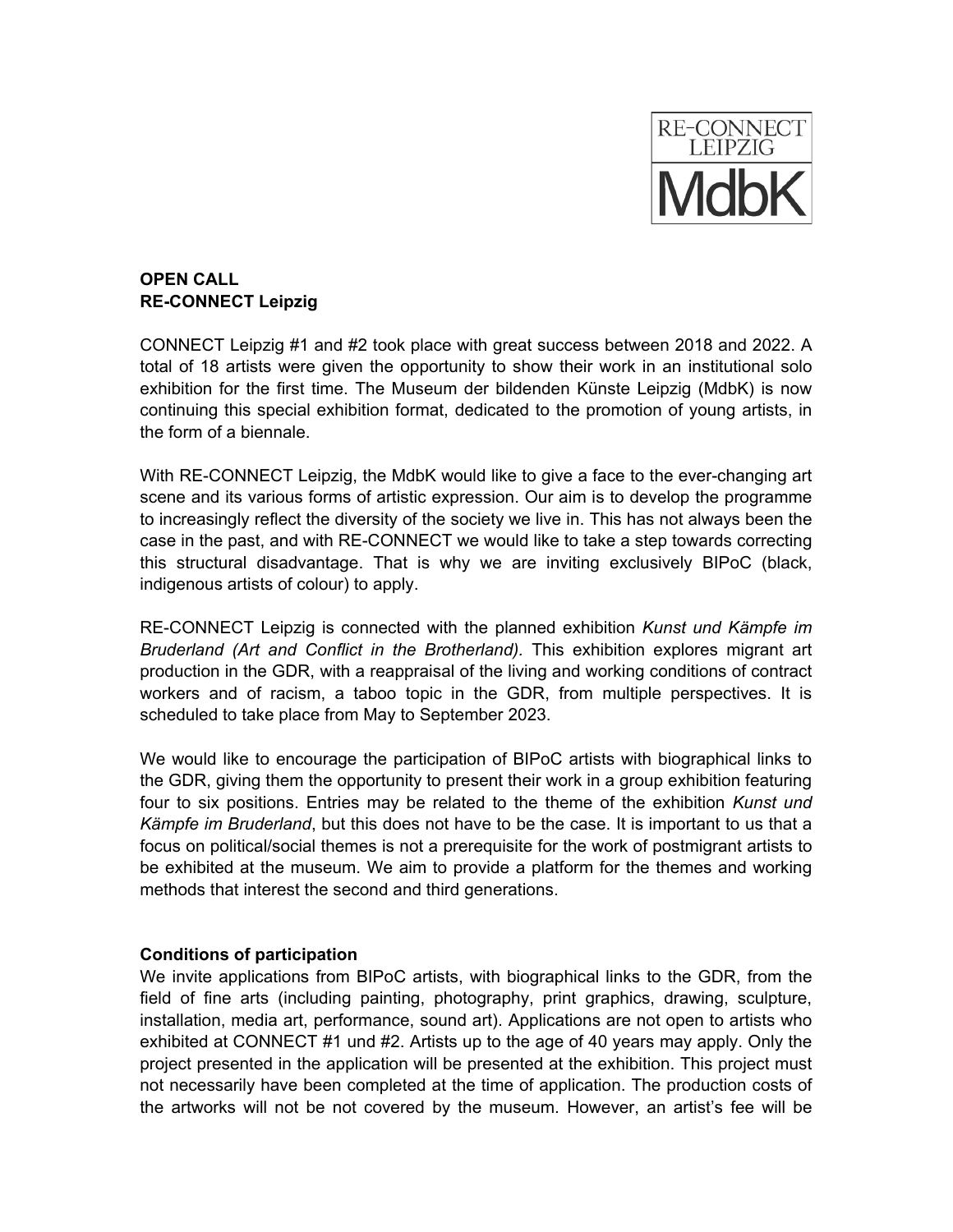

# **OPEN CALL RE-CONNECT Leipzig**

CONNECT Leipzig #1 and #2 took place with great success between 2018 and 2022. A total of 18 artists were given the opportunity to show their work in an institutional solo exhibition for the first time. The Museum der bildenden Künste Leipzig (MdbK) is now continuing this special exhibition format, dedicated to the promotion of young artists, in the form of a biennale.

With RE-CONNECT Leipzig, the MdbK would like to give a face to the ever-changing art scene and its various forms of artistic expression. Our aim is to develop the programme to increasingly reflect the diversity of the society we live in. This has not always been the case in the past, and with RE-CONNECT we would like to take a step towards correcting this structural disadvantage. That is why we are inviting exclusively BIPoC (black, indigenous artists of colour) to apply.

RE-CONNECT Leipzig is connected with the planned exhibition *Kunst und Kämpfe im Bruderland (Art and Conflict in the Brotherland).* This exhibition explores migrant art production in the GDR, with a reappraisal of the living and working conditions of contract workers and of racism, a taboo topic in the GDR, from multiple perspectives. It is scheduled to take place from May to September 2023.

We would like to encourage the participation of BIPoC artists with biographical links to the GDR, giving them the opportunity to present their work in a group exhibition featuring four to six positions. Entries may be related to the theme of the exhibition *Kunst und Kämpfe im Bruderland*, but this does not have to be the case. It is important to us that a focus on political/social themes is not a prerequisite for the work of postmigrant artists to be exhibited at the museum. We aim to provide a platform for the themes and working methods that interest the second and third generations.

## **Conditions of participation**

We invite applications from BIPoC artists, with biographical links to the GDR, from the field of fine arts (including painting, photography, print graphics, drawing, sculpture, installation, media art, performance, sound art). Applications are not open to artists who exhibited at CONNECT #1 und #2. Artists up to the age of 40 years may apply. Only the project presented in the application will be presented at the exhibition. This project must not necessarily have been completed at the time of application. The production costs of the artworks will not be not covered by the museum. However, an artist's fee will be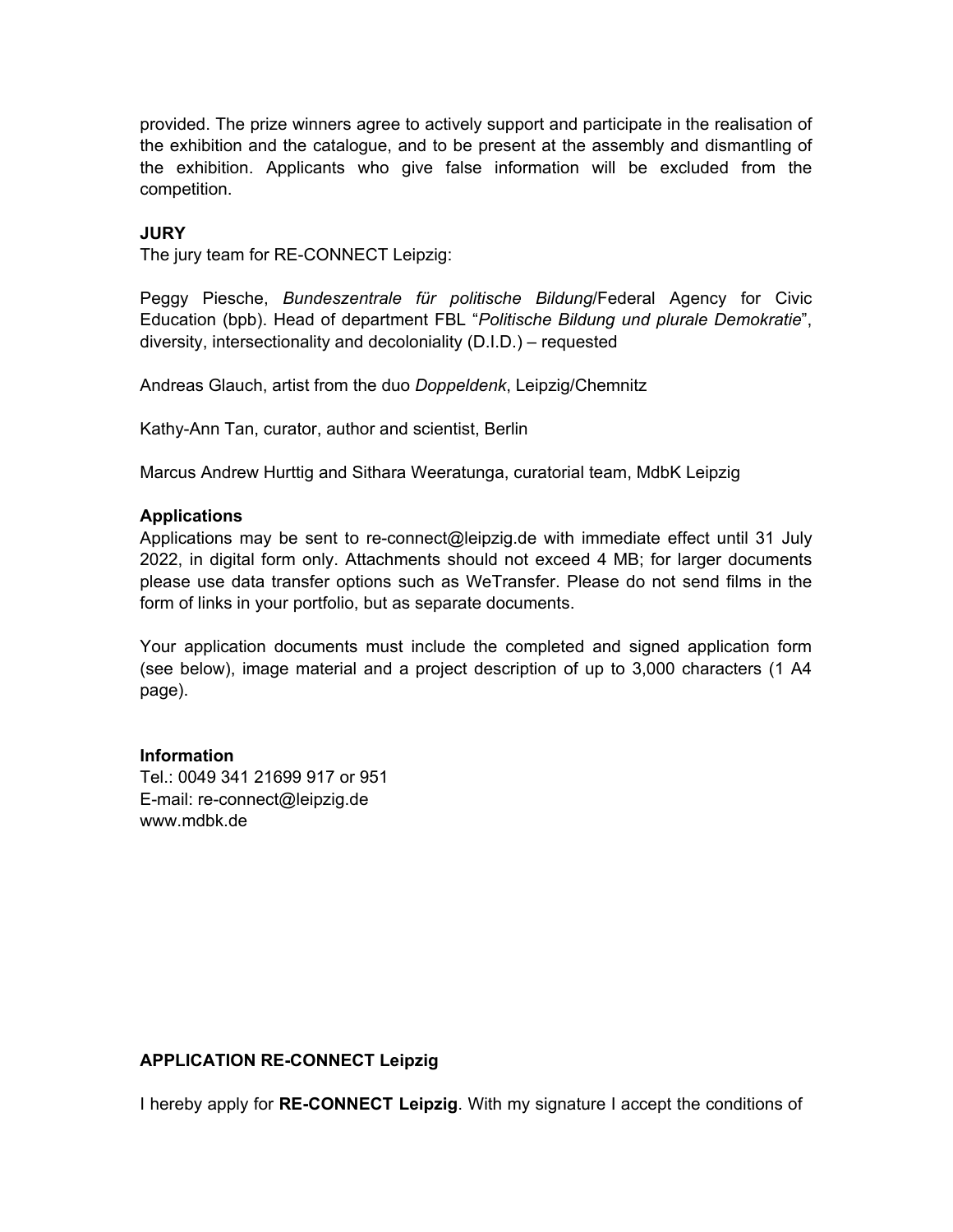provided. The prize winners agree to actively support and participate in the realisation of the exhibition and the catalogue, and to be present at the assembly and dismantling of the exhibition. Applicants who give false information will be excluded from the competition.

### **JURY**

The jury team for RE-CONNECT Leipzig:

Peggy Piesche, *Bundeszentrale für politische Bildung*/Federal Agency for Civic Education (bpb). Head of department FBL "*Politische Bildung und plurale Demokratie*", diversity, intersectionality and decoloniality (D.I.D.) – requested

Andreas Glauch, artist from the duo *Doppeldenk*, Leipzig/Chemnitz

Kathy-Ann Tan, curator, author and scientist, Berlin

Marcus Andrew Hurttig and Sithara Weeratunga, curatorial team, MdbK Leipzig

#### **Applications**

Applications may be sent to re-connect@leipzig.de with immediate effect until 31 July 2022, in digital form only. Attachments should not exceed 4 MB; for larger documents please use data transfer options such as WeTransfer. Please do not send films in the form of links in your portfolio, but as separate documents.

Your application documents must include the completed and signed application form (see below), image material and a project description of up to 3,000 characters (1 A4 page).

#### **Information**

Tel.: 0049 341 21699 917 or 951 E-mail: re-connect@leipzig.de [www.mdbk.de](http://www.mdbk.de/)

## **APPLICATION RE-CONNECT Leipzig**

I hereby apply for **RE-CONNECT Leipzig**. With my signature I accept the conditions of